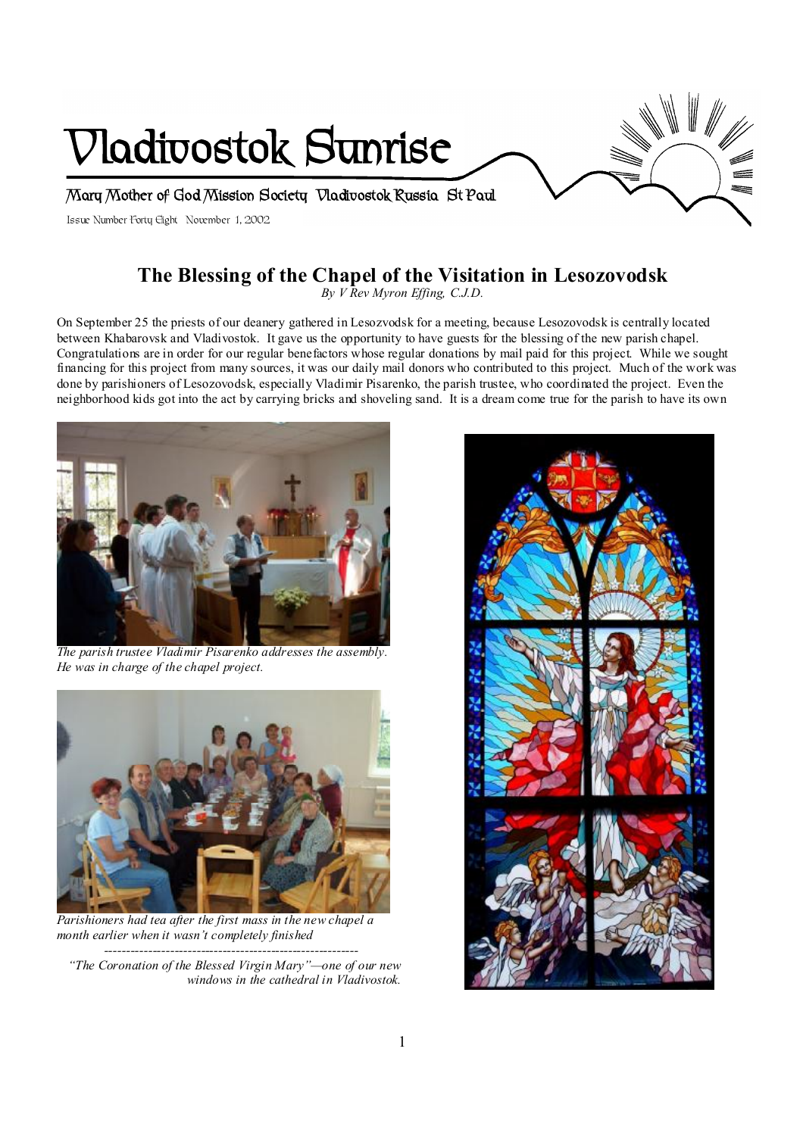

# **The Blessing of the Chapel of the Visitation in Lesozovodsk**

*By V Rev Myron Effing, C.J.D.* 

On September 25 the priests of our deanery gathered in Lesozvodsk for a meeting, because Lesozovodsk is centrally located between Khabarovsk and Vladivostok. It gave us the opportunity to have guests for the blessing of the new parish chapel. Congratulations are in order for our regular benefactors whose regular donations by mail paid for this project. While we sought financing for this project from many sources, it was our daily mail donors who contributed to this project. Much of the work was done by parishioners of Lesozovodsk, especially Vladimir Pisarenko, the parish trustee, who coordinated the project. Even the neighborhood kids got into the act by carrying bricks and shoveling sand. It is a dream come true for the parish to have its own



*The parish trustee Vladimir Pisarenko addresses the assembly. He was in charge of the chapel project.* 



*Parishioners had tea after the first mass in the new chapel a month earlier when it wasn't completely finished ----------------------------------------------------------* 

*"The Coronation of the Blessed Virgin Mary"—one of our new windows in the cathedral in Vladivostok.* 

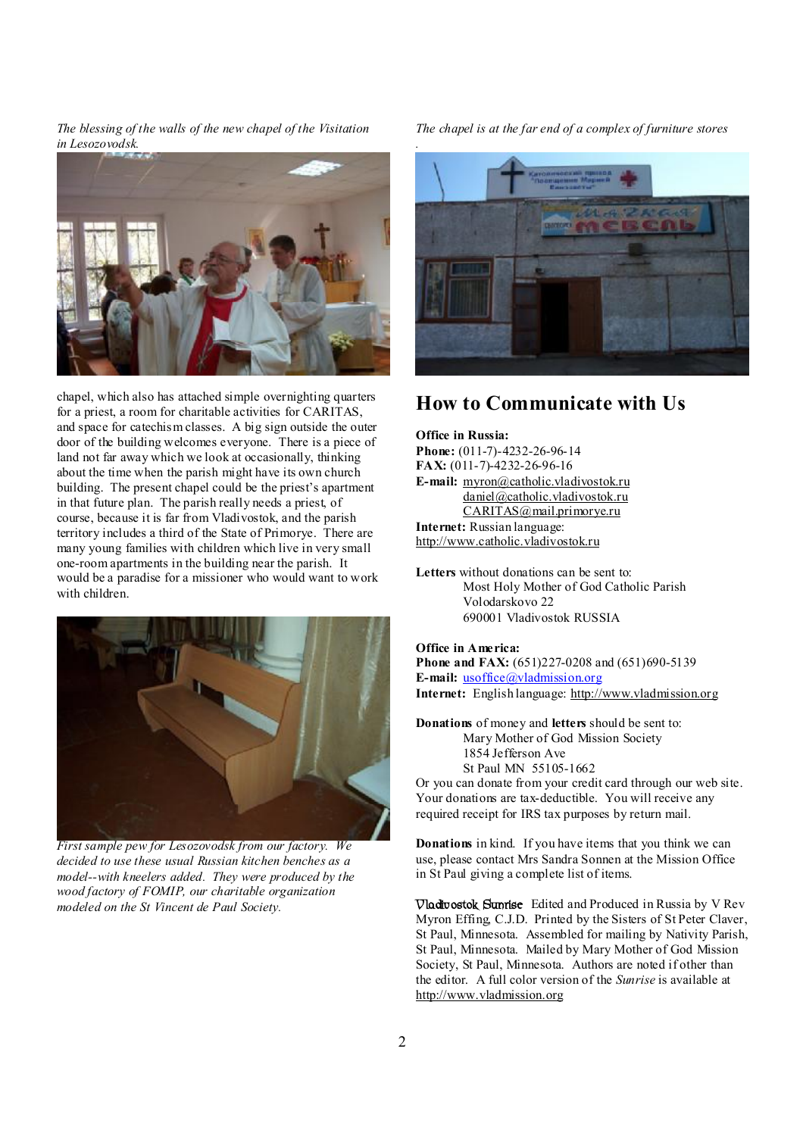*The blessing of the walls of the new chapel of the Visitation in Lesozovodsk.* 



chapel, which also has attached simple overnighting quarters for a priest, a room for charitable activities for CARITAS, and space for catechism classes. A big sign outside the outer door of the building welcomes everyone. There is a piece of land not far away which we look at occasionally, thinking about the time when the parish might have its own church building. The present chapel could be the priest's apartment in that future plan. The parish really needs a priest, of course, because it is far from Vladivostok, and the parish territory includes a third of the State of Primorye. There are many young families with children which live in very small one-room apartments in the building near the parish. It would be a paradise for a missioner who would want to work with children.



*First sample pew for Lesozovodsk from our factory. We decided to use these usual Russian kitchen benches as a model--with kneelers added. They were produced by the wood factory of FOMIP, our charitable organization modeled on the St Vincent de Paul Society.* 

*The chapel is at the far end of a complex of furniture stores* 



# **How to Communicate with Us**

#### **Office in Russia:**

**Phone:** (011-7)-4232-26-96-14 **FAX:** (011-7)-4232-26-96-16 **E-mail:** [myron@catholic.vladivostok.ru](mailto:myron@catholic.vladivostok.ru) [daniel@catholic.vladivostok.ru](mailto:daniel@catholic.vladivostok.ru) [CARITAS@mail.primorye.ru](mailto:CARITAS@mail.primorye.ru) **Internet:** Russian language: <http://www.catholic.vladivostok.ru>

**Letters** without donations can be sent to: Most Holy Mother of God Catholic Parish Volodarskovo 22 690001 Vladivostok RUSSIA

#### **Office in America:**

**Phone and FAX:** (651)227-0208 and (651)690-5139 **E-mail:** [usoffice@vladmission.org](mailto:usoffice@vladmission.org) **Internet:** English language: <http://www.vladmission.org>

**Donations** of money and **letters** should be sent to: Mary Mother of God Mission Society 1854 Jefferson Ave St Paul MN 55105-1662

Or you can donate from your credit card through our web site. Your donations are tax-deductible. You will receive any required receipt for IRS tax purposes by return mail.

**Donations** in kind. If you have items that you think we can use, please contact Mrs Sandra Sonnen at the Mission Office in St Paul giving a complete list of items.

**Vladivostok Sunrise** Edited and Produced in Russia by V Rev Myron Effing, C.J.D. Printed by the Sisters of St Peter Claver, St Paul, Minnesota. Assembled for mailing by Nativity Parish, St Paul, Minnesota. Mailed by Mary Mother of God Mission Society, St Paul, Minnesota. Authors are noted if other than the editor. A full color version of the *Sunrise* is available at <http://www.vladmission.org>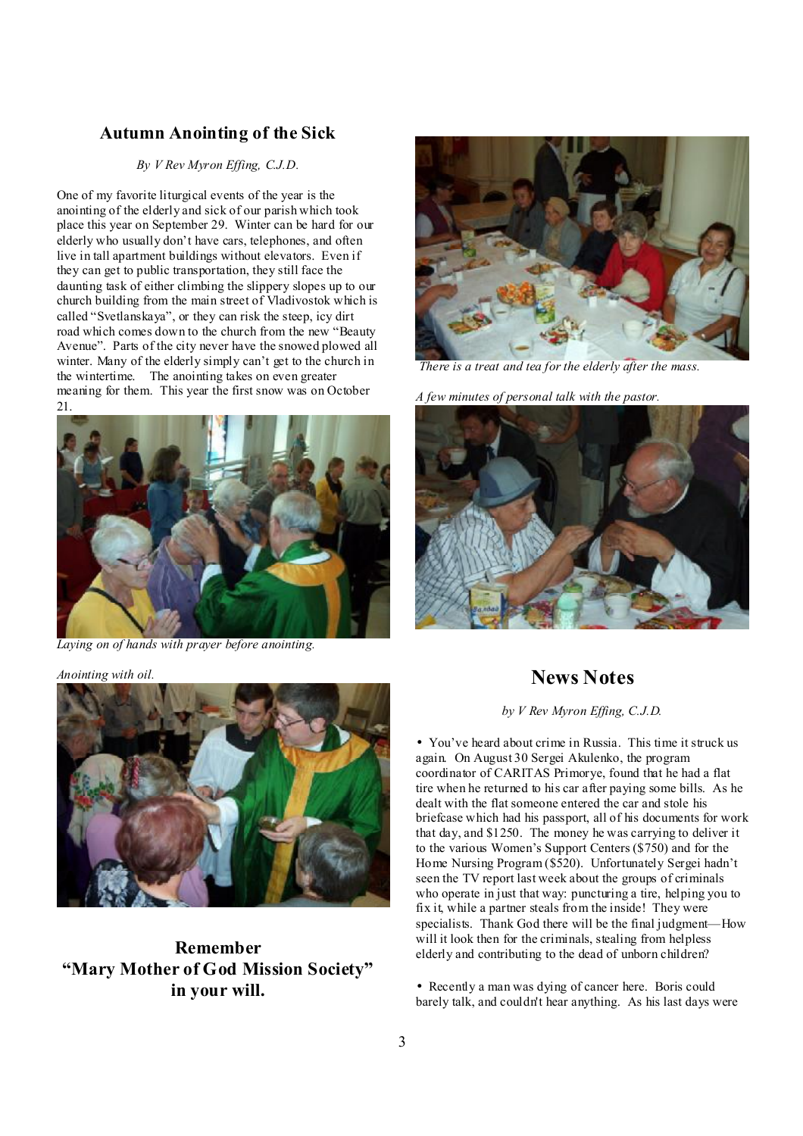## **Autumn Anointing of the Sick**

### *By V Rev Myron Effing, C.J.D.*

One of my favorite liturgical events of the year is the anointing of the elderly and sick of our parish which took place this year on September 29. Winter can be hard for our elderly who usually don't have cars, telephones, and often live in tall apartment buildings without elevators. Even if they can get to public transportation, they still face the daunting task of either climbing the slippery slopes up to our church building from the main street of Vladivostok which is called "Svetlanskaya", or they can risk the steep, icy dirt road which comes down to the church from the new "Beauty Avenue". Parts of the city never have the snowed plowed all winter. Many of the elderly simply can't get to the church in the wintertime. The anointing takes on even greater meaning for them. This year the first snow was on October 21.



*Laying on of hands with prayer before anointing.* 

#### *Anointing with oil.*



**Remember "Mary Mother of God Mission Society" in your will.** 



*There is a treat and tea for the elderly after the mass.* 

*A few minutes of personal talk with the pastor.*



# **News Notes**

*by V Rev Myron Effing, C.J.D.*

• You've heard about crime in Russia. This time it struck us again. On August 30 Sergei Akulenko, the program coordinator of CARITAS Primorye, found that he had a flat tire when he returned to his car after paying some bills. As he dealt with the flat someone entered the car and stole his briefcase which had his passport, all of his documents for work that day, and \$1250. The money he was carrying to deliver it to the various Women's Support Centers (\$750) and for the Home Nursing Program (\$520). Unfortunately Sergei hadn't seen the TV report last week about the groups of criminals who operate in just that way: puncturing a tire, helping you to fix it, while a partner steals from the inside! They were specialists. Thank God there will be the final judgment—How will it look then for the criminals, stealing from helpless elderly and contributing to the dead of unborn children?

• Recently a man was dying of cancer here. Boris could barely talk, and couldn't hear anything. As his last days were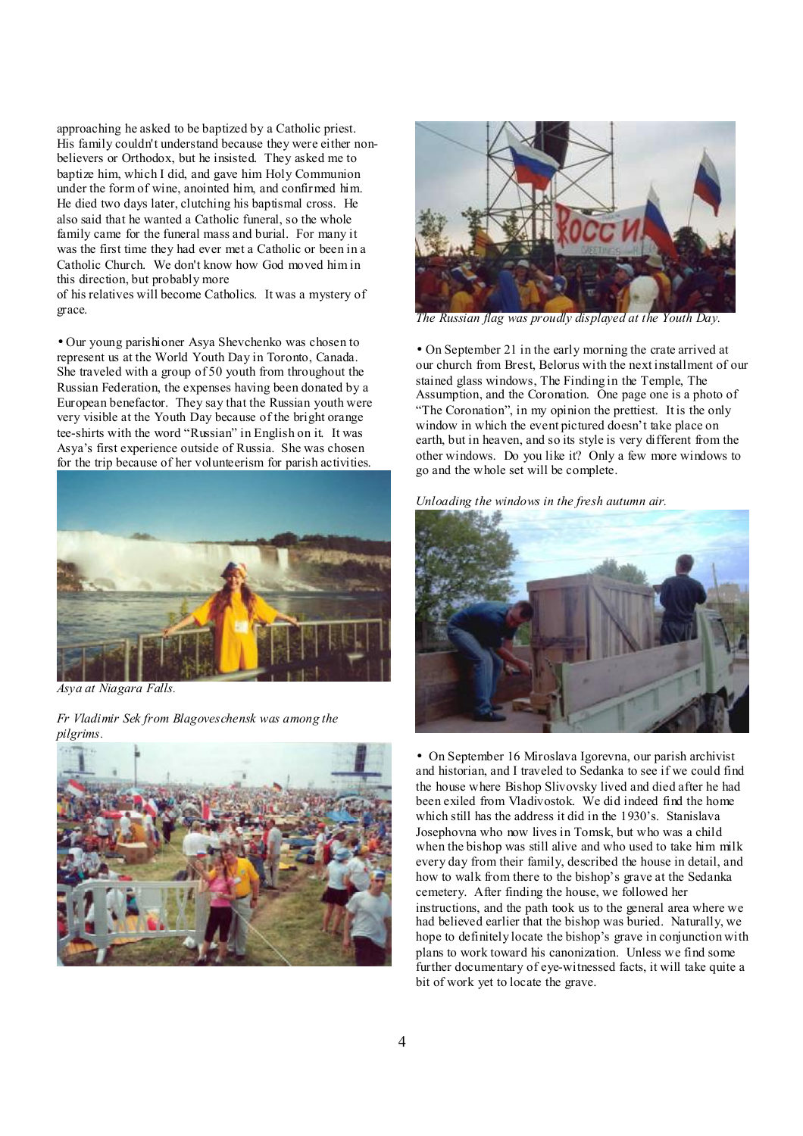approaching he asked to be baptized by a Catholic priest. His family couldn't understand because they were either nonbelievers or Orthodox, but he insisted. They asked me to baptize him, which I did, and gave him Holy Communion under the form of wine, anointed him, and confirmed him. He died two days later, clutching his baptismal cross. He also said that he wanted a Catholic funeral, so the whole family came for the funeral mass and burial. For many it was the first time they had ever met a Catholic or been in a Catholic Church. We don't know how God moved him in this direction, but probably more

of his relatives will become Catholics. It was a mystery of grace.

• Our young parishioner Asya Shevchenko was chosen to represent us at the World Youth Day in Toronto, Canada. She traveled with a group of 50 youth from throughout the Russian Federation, the expenses having been donated by a European benefactor. They say that the Russian youth were very visible at the Youth Day because of the bright orange tee-shirts with the word "Russian" in English on it. It was Asya's first experience outside of Russia. She was chosen for the trip because of her volunteerism for parish activities.



*Asya at Niagara Falls.* 

*Fr Vladimir Sek from Blagoveschensk was among the pilgrims.* 





*The Russian flag was proudly displayed at the Youth Day.* 

• On September 21 in the early morning the crate arrived at our church from Brest, Belorus with the next installment of our stained glass windows, The Finding in the Temple, The Assumption, and the Coronation. One page one is a photo of "The Coronation", in my opinion the prettiest. It is the only window in which the event pictured doesn't take place on earth, but in heaven, and so its style is very different from the other windows. Do you like it? Only a few more windows to go and the whole set will be complete.

*Unloading the windows in the fresh autumn air.* 



• On September 16 Miroslava Igorevna, our parish archivist and historian, and I traveled to Sedanka to see if we could find the house where Bishop Slivovsky lived and died after he had been exiled from Vladivostok. We did indeed find the home which still has the address it did in the 1930's. Stanislava Josephovna who now lives in Tomsk, but who was a child when the bishop was still alive and who used to take him milk every day from their family, described the house in detail, and how to walk from there to the bishop's grave at the Sedanka cemetery. After finding the house, we followed her instructions, and the path took us to the general area where we had believed earlier that the bishop was buried. Naturally, we hope to definitely locate the bishop's grave in conjunction with plans to work toward his canonization. Unless we find some further documentary of eye-witnessed facts, it will take quite a bit of work yet to locate the grave.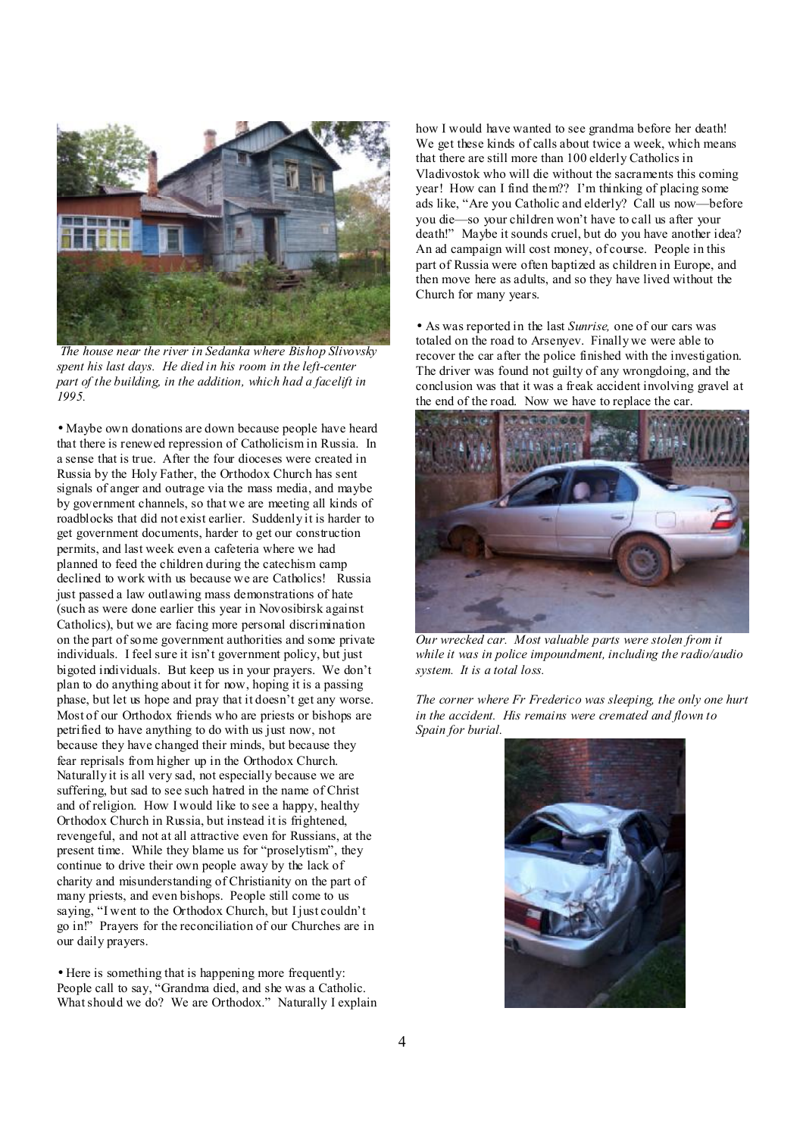

*The house near the river in Sedanka where Bishop Slivovsky spent his last days. He died in his room in the left-center part of the building, in the addition, which had a facelift in 1995.* 

• Maybe own donations are down because people have heard that there is renewed repression of Catholicism in Russia. In a sense that is true. After the four dioceses were created in Russia by the Holy Father, the Orthodox Church has sent signals of anger and outrage via the mass media, and maybe by government channels, so that we are meeting all kinds of roadblocks that did not exist earlier. Suddenly it is harder to get government documents, harder to get our construction permits, and last week even a cafeteria where we had planned to feed the children during the catechism camp declined to work with us because we are Catholics! Russia just passed a law outlawing mass demonstrations of hate (such as were done earlier this year in Novosibirsk against Catholics), but we are facing more personal discrimination on the part of some government authorities and some private individuals. I feel sure it isn't government policy, but just bigoted individuals. But keep us in your prayers. We don't plan to do anything about it for now, hoping it is a passing phase, but let us hope and pray that it doesn't get any worse. Most of our Orthodox friends who are priests or bishops are petrified to have anything to do with us just now, not because they have changed their minds, but because they fear reprisals from higher up in the Orthodox Church. Naturally it is all very sad, not especially because we are suffering, but sad to see such hatred in the name of Christ and of religion. How I would like to see a happy, healthy Orthodox Church in Russia, but instead it is frightened, revengeful, and not at all attractive even for Russians, at the present time. While they blame us for "proselytism", they continue to drive their own people away by the lack of charity and misunderstanding of Christianity on the part of many priests, and even bishops. People still come to us saying, "I went to the Orthodox Church, but I just couldn't go in!" Prayers for the reconciliation of our Churches are in our daily prayers.

• Here is something that is happening more frequently: People call to say, "Grandma died, and she was a Catholic. Whatshould we do? We are Orthodox." Naturally I explain

how I would have wanted to see grandma before her death! We get these kinds of calls about twice a week, which means that there are still more than 100 elderly Catholics in Vladivostok who will die without the sacraments this coming year! How can I find them?? I'm thinking of placing some ads like, "Are you Catholic and elderly? Call us now—before you die—so your children won't have to call us after your death!" Maybe it sounds cruel, but do you have another idea? An ad campaign will cost money, of course. People in this part of Russia were often baptized as children in Europe, and then move here as adults, and so they have lived without the Church for many years.

• As was reported in the last *Sunrise,* one of our cars was totaled on the road to Arsenyev. Finally we were able to recover the car after the police finished with the investigation. The driver was found not guilty of any wrongdoing, and the conclusion was that it was a freak accident involving gravel at the end of the road. Now we have to replace the car.



*Our wrecked car. Most valuable parts were stolen from it while it was in police impoundment, including the radio/audio system. It is a total loss.* 

*The corner where Fr Frederico was sleeping, the only one hurt in the accident. His remains were cremated and flown to Spain for burial.* 

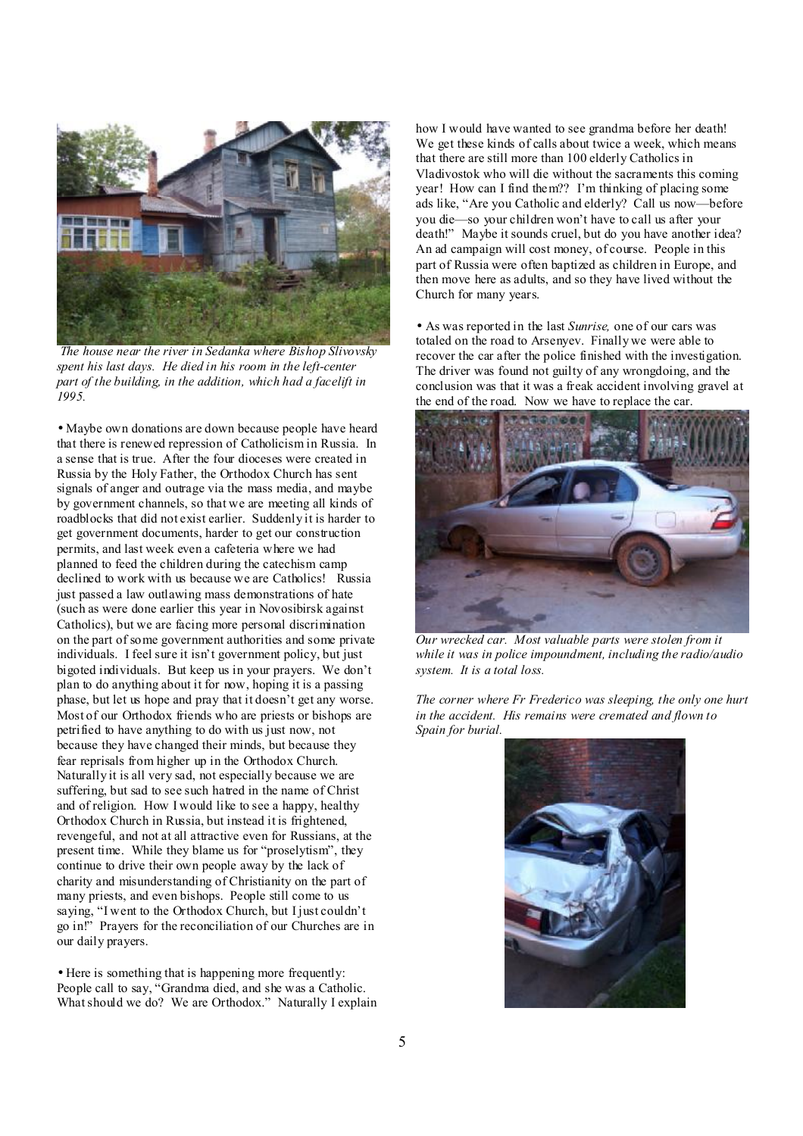

*The house near the river in Sedanka where Bishop Slivovsky spent his last days. He died in his room in the left-center part of the building, in the addition, which had a facelift in 1995.* 

• Maybe own donations are down because people have heard that there is renewed repression of Catholicism in Russia. In a sense that is true. After the four dioceses were created in Russia by the Holy Father, the Orthodox Church has sent signals of anger and outrage via the mass media, and maybe by government channels, so that we are meeting all kinds of roadblocks that did not exist earlier. Suddenly it is harder to get government documents, harder to get our construction permits, and last week even a cafeteria where we had planned to feed the children during the catechism camp declined to work with us because we are Catholics! Russia just passed a law outlawing mass demonstrations of hate (such as were done earlier this year in Novosibirsk against Catholics), but we are facing more personal discrimination on the part of some government authorities and some private individuals. I feel sure it isn't government policy, but just bigoted individuals. But keep us in your prayers. We don't plan to do anything about it for now, hoping it is a passing phase, but let us hope and pray that it doesn't get any worse. Most of our Orthodox friends who are priests or bishops are petrified to have anything to do with us just now, not because they have changed their minds, but because they fear reprisals from higher up in the Orthodox Church. Naturally it is all very sad, not especially because we are suffering, but sad to see such hatred in the name of Christ and of religion. How I would like to see a happy, healthy Orthodox Church in Russia, but instead it is frightened, revengeful, and not at all attractive even for Russians, at the present time. While they blame us for "proselytism", they continue to drive their own people away by the lack of charity and misunderstanding of Christianity on the part of many priests, and even bishops. People still come to us saying, "I went to the Orthodox Church, but I just couldn't go in!" Prayers for the reconciliation of our Churches are in our daily prayers.

• Here is something that is happening more frequently: People call to say, "Grandma died, and she was a Catholic. Whatshould we do? We are Orthodox." Naturally I explain

how I would have wanted to see grandma before her death! We get these kinds of calls about twice a week, which means that there are still more than 100 elderly Catholics in Vladivostok who will die without the sacraments this coming year! How can I find them?? I'm thinking of placing some ads like, "Are you Catholic and elderly? Call us now—before you die—so your children won't have to call us after your death!" Maybe it sounds cruel, but do you have another idea? An ad campaign will cost money, of course. People in this part of Russia were often baptized as children in Europe, and then move here as adults, and so they have lived without the Church for many years.

• As was reported in the last *Sunrise,* one of our cars was totaled on the road to Arsenyev. Finally we were able to recover the car after the police finished with the investigation. The driver was found not guilty of any wrongdoing, and the conclusion was that it was a freak accident involving gravel at the end of the road. Now we have to replace the car.



*Our wrecked car. Most valuable parts were stolen from it while it was in police impoundment, including the radio/audio system. It is a total loss.* 

*The corner where Fr Frederico was sleeping, the only one hurt in the accident. His remains were cremated and flown to Spain for burial.* 

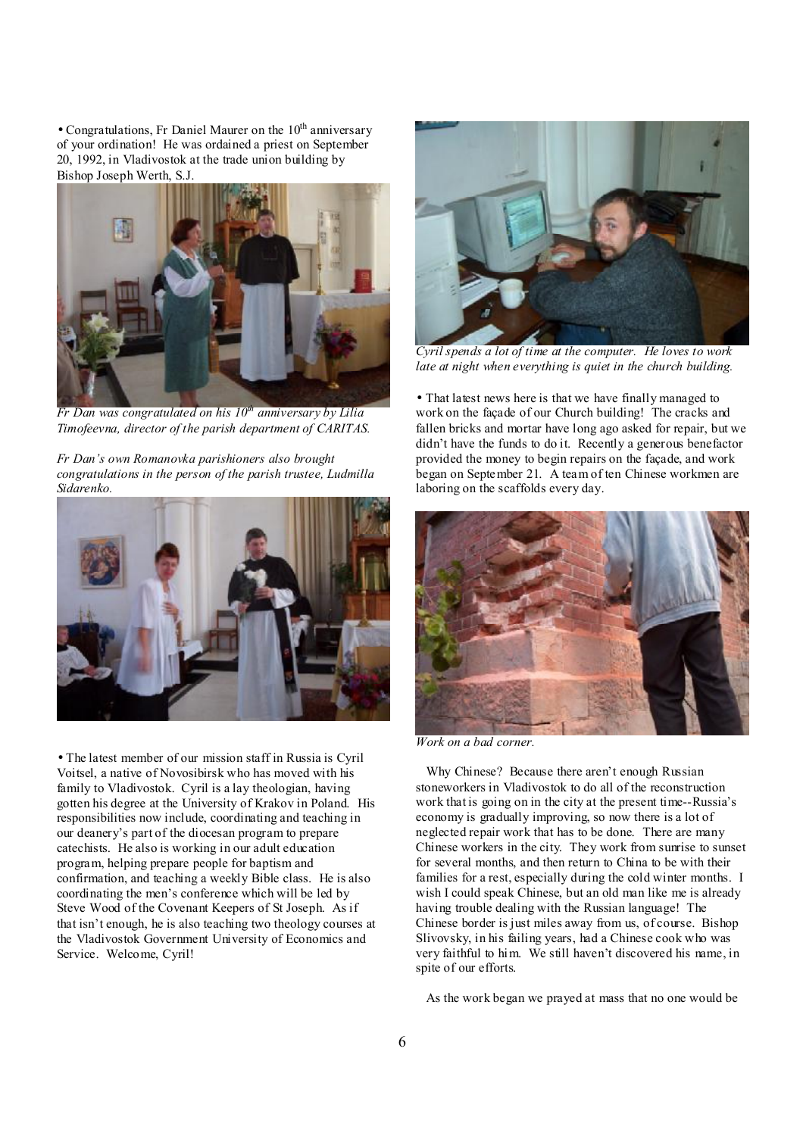• Congratulations, Fr Daniel Maurer on the  $10<sup>th</sup>$  anniversary of your ordination! He was ordained a priest on September 20, 1992, in Vladivostok at the trade union building by Bishop Joseph Werth, S.J.



*Fr Dan was congratulated on his 10th anniversary by Lilia Timofeevna, director of the parish department of CARITAS.* 

*Fr Dan's own Romanovka parishioners also brought congratulations in the person of the parish trustee, Ludmilla Sidarenko.* 



• The latest member of our mission staff in Russia is Cyril Voitsel, a native of Novosibirsk who has moved with his family to Vladivostok. Cyril is a lay theologian, having gotten his degree at the University of Krakov in Poland. His responsibilities now include, coordinating and teaching in our deanery's part of the diocesan program to prepare catechists. He also is working in our adult education program, helping prepare people for baptism and confirmation, and teaching a weekly Bible class. He is also coordinating the men's conference which will be led by Steve Wood of the Covenant Keepers of St Joseph. As if that isn't enough, he is also teaching two theology courses at the Vladivostok Government University of Economics and Service. Welcome, Cyril!



*Cyril spends a lot of time at the computer. He loves to work late at night when everything is quiet in the church building.* 

• That latest news here is that we have finally managed to work on the façade of our Church building! The cracks and fallen bricks and mortar have long ago asked for repair, but we didn't have the funds to do it. Recently a generous benefactor provided the money to begin repairs on the façade, and work began on September 21. A team of ten Chinese workmen are laboring on the scaffolds every day.



*Work on a bad corner.* 

 Why Chinese? Because there aren't enough Russian stoneworkers in Vladivostok to do all of the reconstruction work that is going on in the city at the present time--Russia's economy is gradually improving, so now there is a lot of neglected repair work that has to be done. There are many Chinese workers in the city. They work from sunrise to sunset for several months, and then return to China to be with their families for a rest, especially during the cold winter months. I wish I could speak Chinese, but an old man like me is already having trouble dealing with the Russian language! The Chinese border is just miles away from us, of course. Bishop Slivovsky, in his failing years, had a Chinese cook who was very faithful to him. We still haven't discovered his name, in spite of our efforts.

As the work began we prayed at mass that no one would be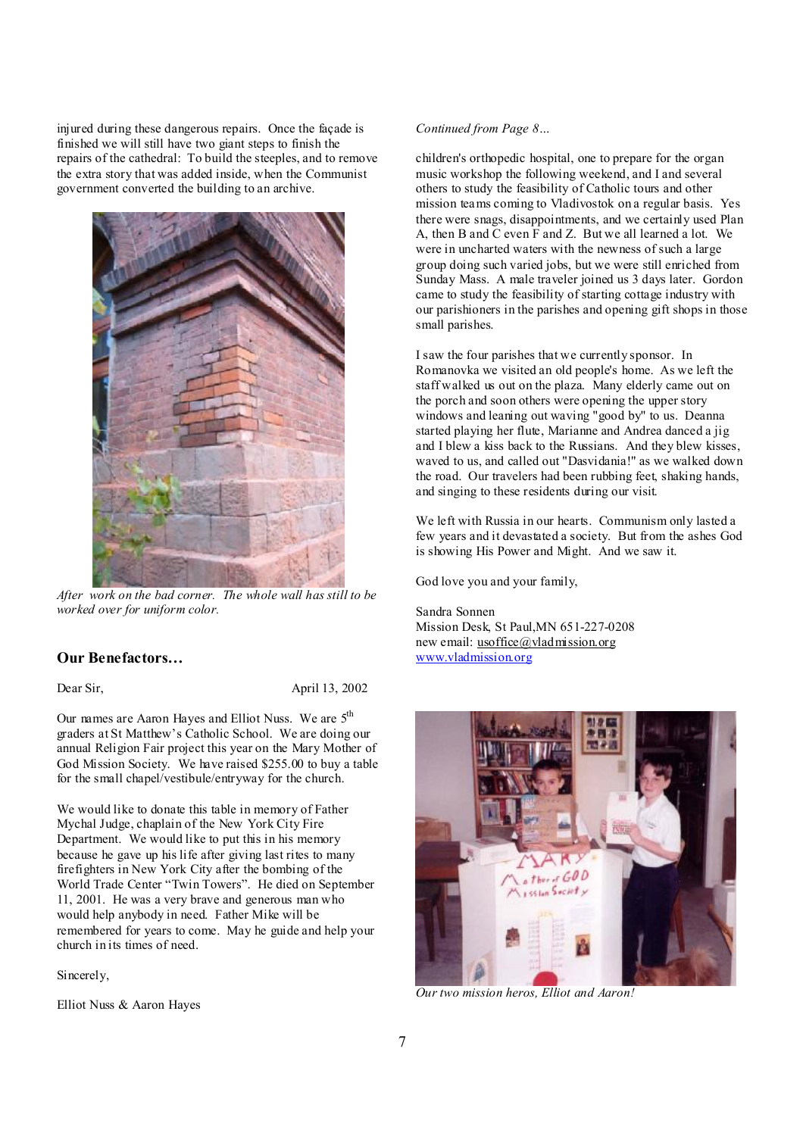injured during these dangerous repairs. Once the façade is finished we will still have two giant steps to finish the repairs of the cathedral: To build the steeples, and to remove the extra story that was added inside, when the Communist government converted the building to an archive.



*After work on the bad corner. The whole wall has still to be worked over for uniform color.* 

### **Our Benefactors…**

Dear Sir, April 13, 2002

Our names are Aaron Hayes and Elliot Nuss. We are 5<sup>th</sup> graders at St Matthew's Catholic School. We are doing our annual Religion Fair project this year on the Mary Mother of God Mission Society. We have raised \$255.00 to buy a table for the small chapel/vestibule/entryway for the church.

We would like to donate this table in memory of Father Mychal Judge, chaplain of the New York City Fire Department. We would like to put this in his memory because he gave up his life after giving last rites to many firefighters in New York City after the bombing of the World Trade Center "Twin Towers". He died on September 11, 2001. He was a very brave and generous man who would help anybody in need. Father Mike will be remembered for years to come. May he guide and help your church in its times of need.

Sincerely,

Elliot Nuss & Aaron Hayes

#### *Continued from Page 8…*

children's orthopedic hospital, one to prepare for the organ music workshop the following weekend, and I and several others to study the feasibility of Catholic tours and other mission teams coming to Vladivostok on a regular basis. Yes there were snags, disappointments, and we certainly used Plan A, then B and C even F and Z. But we all learned a lot. We were in uncharted waters with the newness of such a large group doing such varied jobs, but we were still enriched from Sunday Mass. A male traveler joined us 3 days later. Gordon came to study the feasibility of starting cottage industry with our parishioners in the parishes and opening gift shops in those small parishes.

I saw the four parishes that we currently sponsor. In Romanovka we visited an old people's home. As we left the staff walked us out on the plaza. Many elderly came out on the porch and soon others were opening the upper story windows and leaning out waving "good by" to us. Deanna started playing her flute, Marianne and Andrea danced a jig and I blew a kiss back to the Russians. And they blew kisses, waved to us, and called out "Dasvidania!" as we walked down the road. Our travelers had been rubbing feet, shaking hands, and singing to these residents during our visit.

We left with Russia in our hearts. Communism only lasted a few years and it devastated a society. But from the ashes God is showing His Power and Might. And we saw it.

God love you and your family,

Sandra Sonnen Mission Desk, St Paul,MN 651-227-0208 new email: [usoffice@vladmission.org](mailto:usoffice@vladmission.org) [www.vladmission.org](http://www.vladmission.org)



*Our two mission heros, Elliot and Aaron!*